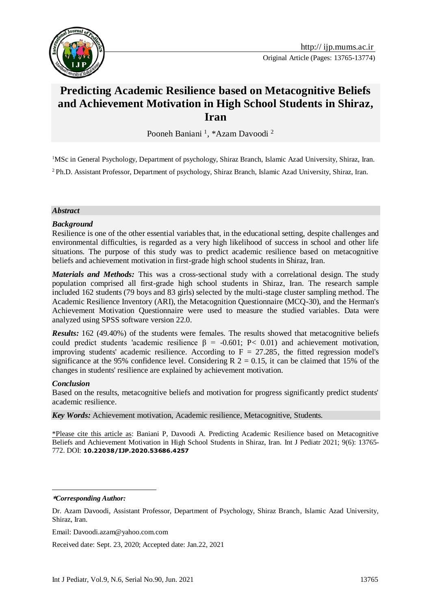

# **Predicting Academic Resilience based on Metacognitive Beliefs and Achievement Motivation in High School Students in Shiraz, Iran**

Pooneh Baniani<sup>1</sup>, \*Azam Davoodi<sup>2</sup>

<sup>1</sup>MSc in General Psychology, Department of psychology, Shiraz Branch, Islamic Azad University, Shiraz, Iran.

<sup>2</sup>Ph.D. Assistant Professor, Department of psychology, Shiraz Branch, Islamic Azad University, Shiraz, Iran.

#### *Abstract*

#### *Background*

Resilience is one of the other essential variables that, in the educational setting, despite challenges and environmental difficulties, is regarded as a very high likelihood of success in school and other life situations. The purpose of this study was to predict academic resilience based on metacognitive beliefs and achievement motivation in first-grade high school students in Shiraz, Iran.

*Materials and Methods:* This was a cross-sectional study with a correlational design. The study population comprised all first-grade high school students in Shiraz, Iran. The research sample included 162 students (79 boys and 83 girls) selected by the multi-stage cluster sampling method. The Academic Resilience Inventory (ARI), the Metacognition Questionnaire (MCQ-30), and the Herman's Achievement Motivation Questionnaire were used to measure the studied variables. Data were analyzed using SPSS software version 22.0.

*Results:* 162 (49.40%) of the students were females. The results showed that metacognitive beliefs could predict students 'academic resilience β = -0.601; P< 0.01) and achievement motivation, improving students' academic resilience. According to  $F = 27.285$ , the fitted regression model's significance at the 95% confidence level. Considering  $R$  2 = 0.15, it can be claimed that 15% of the changes in students' resilience are explained by achievement motivation.

#### *Conclusion*

Based on the results, metacognitive beliefs and motivation for progress significantly predict students' academic resilience.

*Key Words:* Achievement motivation, Academic resilience, Metacognitive, Students.

\*Please cite this article as: Baniani P, Davoodi A. Predicting Academic Resilience based on Metacognitive Beliefs and Achievement Motivation in High School Students in Shiraz, Iran. Int J Pediatr 2021; 9(6): 13765- 772. DOI: **[10.22038/IJP.2020.53686.4257](https://dx.doi.org/10.22038/ijp.2020.53686.4257)**

**\****Corresponding Author:*

<u>.</u>

Received date: Sept. 23, 2020; Accepted date: Jan.22, 2021

Dr. Azam Davoodi, Assistant Professor, Department of Psychology, Shiraz Branch, Islamic Azad University, Shiraz, Iran.

Email: Davoodi.azam@yahoo.com.com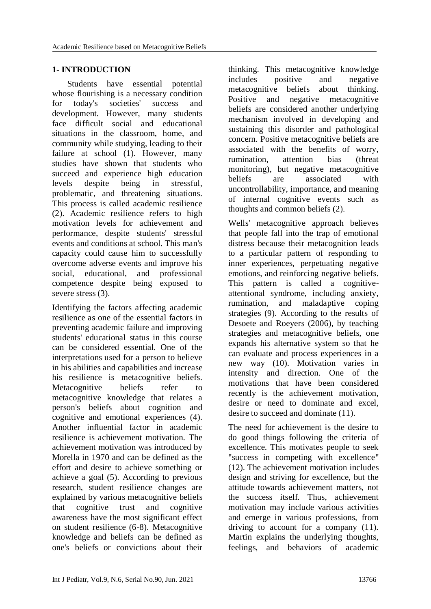# **1- INTRODUCTION**

 Students have essential potential whose flourishing is a necessary condition for today's societies' success and development. However, many students face difficult social and educational situations in the classroom, home, and community while studying, leading to their failure at school (1). However, many studies have shown that students who succeed and experience high education levels despite being in stressful, problematic, and threatening situations. This process is called academic resilience (2). Academic resilience refers to high motivation levels for achievement and performance, despite students' stressful events and conditions at school. This man's capacity could cause him to successfully overcome adverse events and improve his social, educational, and professional competence despite being exposed to severe stress  $(3)$ .

Identifying the factors affecting academic resilience as one of the essential factors in preventing academic failure and improving students' educational status in this course can be considered essential. One of the interpretations used for a person to believe in his abilities and capabilities and increase his resilience is metacognitive beliefs. Metacognitive beliefs refer to metacognitive knowledge that relates a person's beliefs about cognition and cognitive and emotional experiences (4). Another influential factor in academic resilience is achievement motivation. The achievement motivation was introduced by Morella in 1970 and can be defined as the effort and desire to achieve something or achieve a goal (5). According to previous research, student resilience changes are explained by various metacognitive beliefs that cognitive trust and cognitive awareness have the most significant effect on student resilience (6-8). Metacognitive knowledge and beliefs can be defined as one's beliefs or convictions about their thinking. This metacognitive knowledge includes positive and negative metacognitive beliefs about thinking. Positive and negative metacognitive beliefs are considered another underlying mechanism involved in developing and sustaining this disorder and pathological concern. Positive metacognitive beliefs are associated with the benefits of worry, rumination, attention bias (threat monitoring), but negative metacognitive beliefs are associated with uncontrollability, importance, and meaning of internal cognitive events such as thoughts and common beliefs (2).

Wells' metacognitive approach believes that people fall into the trap of emotional distress because their metacognition leads to a particular pattern of responding to inner experiences, perpetuating negative emotions, and reinforcing negative beliefs. This pattern is called a cognitiveattentional syndrome, including anxiety, rumination, and maladaptive coping strategies (9). According to the results of Desoete and Roeyers (2006), by teaching strategies and metacognitive beliefs, one expands his alternative system so that he can evaluate and process experiences in a new way (10). Motivation varies in intensity and direction. One of the motivations that have been considered recently is the achievement motivation, desire or need to dominate and excel, desire to succeed and dominate (11).

The need for achievement is the desire to do good things following the criteria of excellence. This motivates people to seek "success in competing with excellence" (12). The achievement motivation includes design and striving for excellence, but the attitude towards achievement matters, not the success itself. Thus, achievement motivation may include various activities and emerge in various professions, from driving to account for a company (11). Martin explains the underlying thoughts, feelings, and behaviors of academic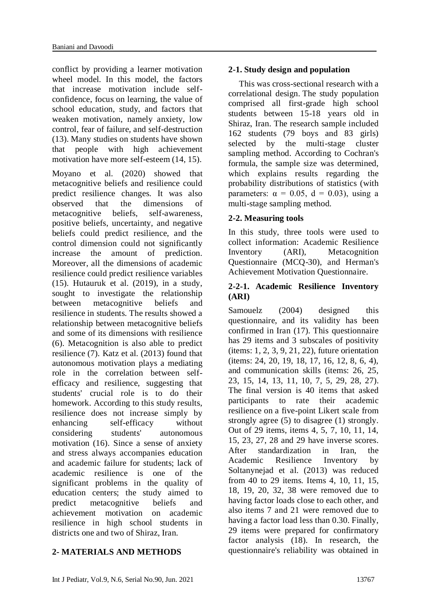conflict by providing a learner motivation wheel model. In this model, the factors that increase motivation include selfconfidence, focus on learning, the value of school education, study, and factors that weaken motivation, namely anxiety, low control, fear of failure, and self-destruction (13). Many studies on students have shown that people with high achievement motivation have more self-esteem (14, 15).

Moyano et al. (2020) showed that metacognitive beliefs and resilience could predict resilience changes. It was also observed that the dimensions of metacognitive beliefs, self-awareness, positive beliefs, uncertainty, and negative beliefs could predict resilience, and the control dimension could not significantly increase the amount of prediction. Moreover, all the dimensions of academic resilience could predict resilience variables (15). Hutauruk et al. (2019), in a study, sought to investigate the relationship between metacognitive beliefs and resilience in students. The results showed a relationship between metacognitive beliefs and some of its dimensions with resilience (6). Metacognition is also able to predict resilience (7). Katz et al. (2013) found that autonomous motivation plays a mediating role in the correlation between selfefficacy and resilience, suggesting that students' crucial role is to do their homework. According to this study results, resilience does not increase simply by enhancing self-efficacy without considering students' autonomous motivation (16). Since a sense of anxiety and stress always accompanies education and academic failure for students; lack of academic resilience is one of the significant problems in the quality of education centers; the study aimed to predict metacognitive beliefs and achievement motivation on academic resilience in high school students in districts one and two of Shiraz, Iran.

# **2- MATERIALS AND METHODS**

# **2-1. Study design and population**

 This was cross-sectional research with a correlational design. The study population comprised all first-grade high school students between 15-18 years old in Shiraz, Iran. The research sample included 162 students (79 boys and 83 girls) selected by the multi-stage cluster sampling method. According to Cochran's formula, the sample size was determined, which explains results regarding the probability distributions of statistics (with parameters:  $\alpha = 0.05$ ,  $d = 0.03$ ), using a multi-stage sampling method.

# **2-2. Measuring tools**

In this study, three tools were used to collect information: Academic Resilience Inventory (ARI), Metacognition Questionnaire (MCQ-30), and Herman's Achievement Motivation Questionnaire.

# **2-2-1. Academic Resilience Inventory (ARI)**

Samouelz (2004) designed this questionnaire, and its validity has been confirmed in Iran (17). This questionnaire has 29 items and 3 subscales of positivity (items: 1, 2, 3, 9, 21, 22), future orientation (items: 24, 20, 19, 18, 17, 16, 12, 8, 6, 4), and communication skills (items: 26, 25, 23, 15, 14, 13, 11, 10, 7, 5, 29, 28, 27). The final version is 40 items that asked participants to rate their academic resilience on a five-point Likert scale from strongly agree (5) to disagree (1) strongly. Out of 29 items, items 4, 5, 7, 10, 11, 14, 15, 23, 27, 28 and 29 have inverse scores. After standardization in Iran, the Academic Resilience Inventory by Soltanynejad et al. (2013) was reduced from 40 to 29 items. Items 4, 10, 11, 15, 18, 19, 20, 32, 38 were removed due to having factor loads close to each other, and also items 7 and 21 were removed due to having a factor load less than 0.30. Finally, 29 items were prepared for confirmatory factor analysis (18). In research, the questionnaire's reliability was obtained in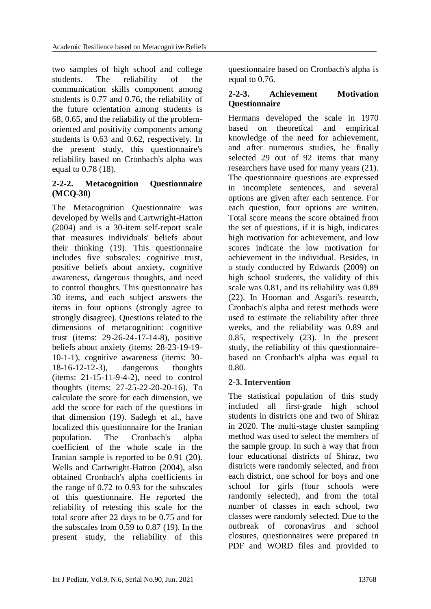two samples of high school and college students. The reliability of the communication skills component among students is 0.77 and 0.76, the reliability of the future orientation among students is 68, 0.65, and the reliability of the problemoriented and positivity components among students is 0.63 and 0.62, respectively. In the present study, this questionnaire's reliability based on Cronbach's alpha was equal to 0.78 (18).

# **2-2-2. Metacognition Questionnaire (MCQ-30)**

The Metacognition Questionnaire was developed by Wells and Cartwright-Hatton (2004) and is a 30-item self-report scale that measures individuals' beliefs about their thinking (19). This questionnaire includes five subscales: cognitive trust, positive beliefs about anxiety, cognitive awareness, dangerous thoughts, and need to control thoughts. This questionnaire has 30 items, and each subject answers the items in four options (strongly agree to strongly disagree). Questions related to the dimensions of metacognition: cognitive trust (items: 29-26-24-17-14-8), positive beliefs about anxiety (items: 28-23-19-19- 10-1-1), cognitive awareness (items: 30- 18-16-12-12-3), dangerous thoughts (items: 21-15-11-9-4-2), need to control thoughts (items: 27-25-22-20-20-16). To calculate the score for each dimension, we add the score for each of the questions in that dimension (19). Sadegh et al., have localized this questionnaire for the Iranian population. The Cronbach's alpha coefficient of the whole scale in the Iranian sample is reported to be 0.91 (20). Wells and Cartwright-Hatton (2004), also obtained Cronbach's alpha coefficients in the range of 0.72 to 0.93 for the subscales of this questionnaire. He reported the reliability of retesting this scale for the total score after 22 days to be 0.75 and for the subscales from 0.59 to 0.87 (19). In the present study, the reliability of this questionnaire based on Cronbach's alpha is equal to 0.76.

# **2-2-3. Achievement Motivation Questionnaire**

Hermans developed the scale in 1970 based on theoretical and empirical knowledge of the need for achievement, and after numerous studies, he finally selected 29 out of 92 items that many researchers have used for many years (21). The questionnaire questions are expressed in incomplete sentences, and several options are given after each sentence. For each question, four options are written. Total score means the score obtained from the set of questions, if it is high, indicates high motivation for achievement, and low scores indicate the low motivation for achievement in the individual. Besides, in a study conducted by Edwards (2009) on high school students, the validity of this scale was 0.81, and its reliability was 0.89 (22). In Hooman and Asgari's research, Cronbach's alpha and retest methods were used to estimate the reliability after three weeks, and the reliability was 0.89 and 0.85, respectively (23). In the present study, the reliability of this questionnairebased on Cronbach's alpha was equal to 0.80.

# **2-3. Intervention**

The statistical population of this study included all first-grade high school students in districts one and two of Shiraz in 2020. The multi-stage cluster sampling method was used to select the members of the sample group. In such a way that from four educational districts of Shiraz, two districts were randomly selected, and from each district, one school for boys and one school for girls (four schools were randomly selected), and from the total number of classes in each school, two classes were randomly selected. Due to the outbreak of coronavirus and school closures, questionnaires were prepared in PDF and WORD files and provided to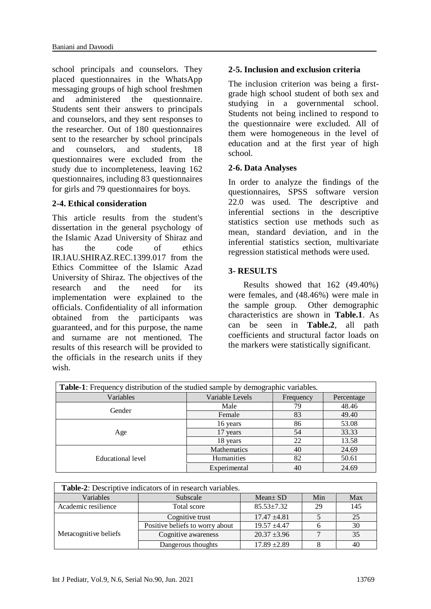school principals and counselors. They placed questionnaires in the WhatsApp messaging groups of high school freshmen and administered the questionnaire. Students sent their answers to principals and counselors, and they sent responses to the researcher. Out of 180 questionnaires sent to the researcher by school principals and counselors, and students, 18 questionnaires were excluded from the study due to incompleteness, leaving 162 questionnaires, including 83 questionnaires for girls and 79 questionnaires for boys.

# **2-4. Ethical consideration**

This article results from the student's dissertation in the general psychology of the Islamic Azad University of Shiraz and has the code of ethics IR.IAU.SHIRAZ.REC.1399.017 from the Ethics Committee of the Islamic Azad University of Shiraz. The objectives of the research and the need for its implementation were explained to the officials. Confidentiality of all information obtained from the participants was guaranteed, and for this purpose, the name and surname are not mentioned. The results of this research will be provided to the officials in the research units if they wish.

# **2-5. Inclusion and exclusion criteria**

The inclusion criterion was being a firstgrade high school student of both sex and studying in a governmental school. Students not being inclined to respond to the questionnaire were excluded. All of them were homogeneous in the level of education and at the first year of high school.

# **2-6. Data Analyses**

In order to analyze the findings of the questionnaires, SPSS software version 22.0 was used. The descriptive and inferential sections in the descriptive statistics section use methods such as mean, standard deviation, and in the inferential statistics section, multivariate regression statistical methods were used.

# **3- RESULTS**

 Results showed that 162 (49.40%) were females, and (48.46%) were male in the sample group. Other demographic characteristics are shown in **Table.1**. As can be seen in **Table.2**, all path coefficients and structural factor loads on the markers were statistically significant.

| <b>Table-1:</b> Frequency distribution of the studied sample by demographic variables. |                    |            |       |  |  |  |
|----------------------------------------------------------------------------------------|--------------------|------------|-------|--|--|--|
| Variables                                                                              | Variable Levels    | Percentage |       |  |  |  |
| Gender                                                                                 | Male               | 79         | 48.46 |  |  |  |
|                                                                                        | Female             | 83         | 49.40 |  |  |  |
| Age                                                                                    | 16 years           | 86         | 53.08 |  |  |  |
|                                                                                        | 17 years           | 54         | 33.33 |  |  |  |
|                                                                                        | 18 years           | 22         | 13.58 |  |  |  |
| Educational level                                                                      | <b>Mathematics</b> | 40         | 24.69 |  |  |  |
|                                                                                        | Humanities         | 82         | 50.61 |  |  |  |
|                                                                                        | Experimental       | 40         | 24.69 |  |  |  |

| <b>Table-2:</b> Descriptive indicators of in research variables. |                                 |                  |     |     |  |  |  |
|------------------------------------------------------------------|---------------------------------|------------------|-----|-----|--|--|--|
| Variables                                                        | Subscale                        | $Mean \pm SD$    | Min | Max |  |  |  |
| Academic resilience                                              | Total score                     | $85.53 + 7.32$   | 29  | 145 |  |  |  |
|                                                                  | Cognitive trust                 | $17.47 + 4.81$   |     | 25  |  |  |  |
|                                                                  | Positive beliefs to worry about | $19.57 + 4.47$   |     | 30  |  |  |  |
| Metacognitive beliefs                                            | Cognitive awareness             | $20.37 \pm 3.96$ |     | 35  |  |  |  |
|                                                                  | Dangerous thoughts              | $17.89 \pm 2.89$ |     | 40  |  |  |  |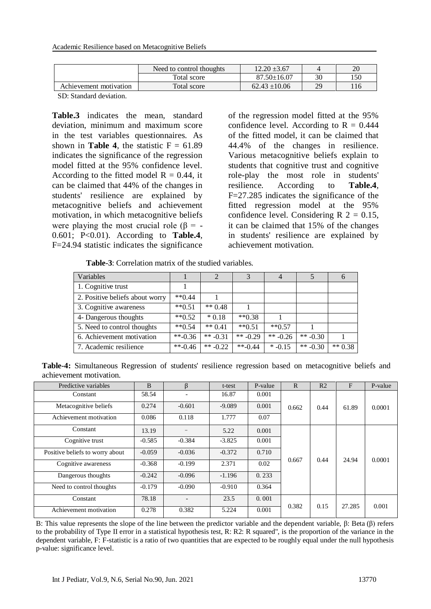|                        | Need to control thoughts | $12.20 \pm 3.67$  |    | 20  |
|------------------------|--------------------------|-------------------|----|-----|
|                        | Total score              | $87.50 \pm 16.07$ | 30 | 150 |
| Achievement motivation | Total score              | $62.43 \pm 10.06$ | 29 | 116 |

SD: Standard deviation.

**Table.3** indicates the mean, standard deviation, minimum and maximum score in the test variables questionnaires. As shown in **Table 4**, the statistic  $F = 61.89$ indicates the significance of the regression model fitted at the 95% confidence level. According to the fitted model  $R = 0.44$ , it can be claimed that 44% of the changes in students' resilience are explained by metacognitive beliefs and achievement motivation, in which metacognitive beliefs were playing the most crucial role ( $\beta$  = -0.601; P<0.01). According to **Table.4**, F=24.94 statistic indicates the significance

of the regression model fitted at the 95% confidence level. According to  $R = 0.444$ of the fitted model, it can be claimed that 44.4% of the changes in resilience. Various metacognitive beliefs explain to students that cognitive trust and cognitive role-play the most role in students' resilience. According to **Table.4**, F=27.285 indicates the significance of the fitted regression model at the 95% confidence level. Considering  $R$  2 = 0.15, it can be claimed that 15% of the changes in students' resilience are explained by achievement motivation.

 **Table-3**: Correlation matrix of the studied variables.

| Variables                       |                         |            | 3          | 4          |            | $\sigma$  |
|---------------------------------|-------------------------|------------|------------|------------|------------|-----------|
| 1. Cognitive trust              |                         |            |            |            |            |           |
| 2. Positive beliefs about worry | $*$ $*$ 0.44            |            |            |            |            |           |
| 3. Cognitive awareness          | $*$ $*$ 0.51            | ** $0.48$  |            |            |            |           |
| 4- Dangerous thoughts           | $**0.52$                | $*0.18$    | $**0.38$   |            |            |           |
| 5. Need to control thoughts     | $**0.54$                | $** 0.41$  | $**0.51$   | $**0.57$   |            |           |
| 6. Achievement motivation       | $**-0.36$               | ** $-0.31$ | ** $-0.29$ | ** $-0.26$ | ** $-0.30$ |           |
| 7. Academic resilience          | $*$ <sup>-6</sup> -0.46 | ** $-0.22$ | $**$ -0.44 | $* -0.15$  | ** $-0.30$ | $** 0.38$ |

**Table-4:** Simultaneous Regression of students' resilience regression based on metacognitive beliefs and achievement motivation.

| Predictive variables            | B        | β        | t-test   | P-value | $\mathbf R$ | R <sub>2</sub> | F      | P-value |
|---------------------------------|----------|----------|----------|---------|-------------|----------------|--------|---------|
| Constant                        | 58.54    |          | 16.87    | 0.001   | 0.662       |                | 61.89  | 0.0001  |
| Metacognitive beliefs           | 0.274    | $-0.601$ | $-9.089$ | 0.001   |             | 0.44           |        |         |
| Achievement motivation          | 0.086    | 0.118    | 1.777    | 0.07    |             |                |        |         |
| Constant                        | 13.19    |          | 5.22     | 0.001   |             | 0.44           | 24.94  | 0.0001  |
| Cognitive trust                 | $-0.585$ | $-0.384$ | $-3.825$ | 0.001   |             |                |        |         |
| Positive beliefs to worry about | $-0.059$ | $-0.036$ | $-0.372$ | 0.710   |             |                |        |         |
| Cognitive awareness             | $-0.368$ | $-0.199$ | 2.371    | 0.02    | 0.667       |                |        |         |
| Dangerous thoughts              | $-0.242$ | $-0.096$ | $-1.196$ | 0.233   |             |                |        |         |
| Need to control thoughts        | $-0.179$ | $-0.090$ | $-0.910$ | 0.364   |             |                |        |         |
| Constant                        | 78.18    |          | 23.5     | 0.001   |             |                |        |         |
| Achievement motivation          | 0.278    | 0.382    | 5.224    | 0.001   | 0.382       | 0.15           | 27.285 | 0.001   |

B: This value represents the slope of the line between the predictor variable and the dependent variable, β: Beta (β) refers to the probability of Type II error in a statistical hypothesis test, R: R2: R squared", is the proportion of the variance in the dependent variable, F: F-statistic is a ratio of two quantities that are expected to be roughly equal under the null hypothesis p-value: significance level.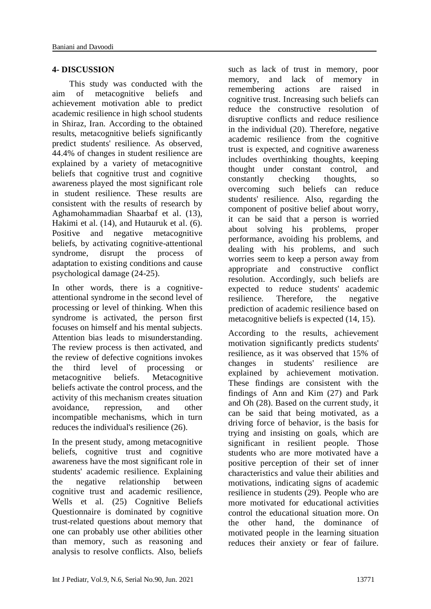#### **4- DISCUSSION**

 This study was conducted with the aim of metacognitive beliefs and achievement motivation able to predict academic resilience in high school students in Shiraz, Iran. According to the obtained results, metacognitive beliefs significantly predict students' resilience. As observed, 44.4% of changes in student resilience are explained by a variety of metacognitive beliefs that cognitive trust and cognitive awareness played the most significant role in student resilience. These results are consistent with the results of research by Aghamohammadian Shaarbaf et al. (13), Hakimi et al. (14), and Hutauruk et al. (6). Positive and negative metacognitive beliefs, by activating cognitive-attentional syndrome, disrupt the process of adaptation to existing conditions and cause psychological damage (24-25).

In other words, there is a cognitiveattentional syndrome in the second level of processing or level of thinking. When this syndrome is activated, the person first focuses on himself and his mental subjects. Attention bias leads to misunderstanding. The review process is then activated, and the review of defective cognitions invokes the third level of processing or metacognitive beliefs. Metacognitive beliefs activate the control process, and the activity of this mechanism creates situation avoidance, repression, and other incompatible mechanisms, which in turn reduces the individual's resilience (26).

In the present study, among metacognitive beliefs, cognitive trust and cognitive awareness have the most significant role in students' academic resilience. Explaining the negative relationship between cognitive trust and academic resilience, Wells et al. (25) Cognitive Beliefs Questionnaire is dominated by cognitive trust-related questions about memory that one can probably use other abilities other than memory, such as reasoning and analysis to resolve conflicts. Also, beliefs such as lack of trust in memory, poor<br>memory, and lack of memory in memory, and lack of memory in remembering actions are raised in cognitive trust. Increasing such beliefs can reduce the constructive resolution of disruptive conflicts and reduce resilience in the individual (20). Therefore, negative academic resilience from the cognitive trust is expected, and cognitive awareness includes overthinking thoughts, keeping thought under constant control, and constantly checking thoughts, so overcoming such beliefs can reduce students' resilience. Also, regarding the component of positive belief about worry, it can be said that a person is worried about solving his problems, proper performance, avoiding his problems, and dealing with his problems, and such worries seem to keep a person away from appropriate and constructive conflict resolution. Accordingly, such beliefs are expected to reduce students' academic resilience. Therefore, the negative prediction of academic resilience based on metacognitive beliefs is expected (14, 15).

According to the results, achievement motivation significantly predicts students' resilience, as it was observed that 15% of changes in students' resilience are explained by achievement motivation. These findings are consistent with the findings of Ann and Kim (27) and Park and Oh (28). Based on the current study, it can be said that being motivated, as a driving force of behavior, is the basis for trying and insisting on goals, which are significant in resilient people. Those students who are more motivated have a positive perception of their set of inner characteristics and value their abilities and motivations, indicating signs of academic resilience in students (29). People who are more motivated for educational activities control the educational situation more. On the other hand, the dominance of motivated people in the learning situation reduces their anxiety or fear of failure.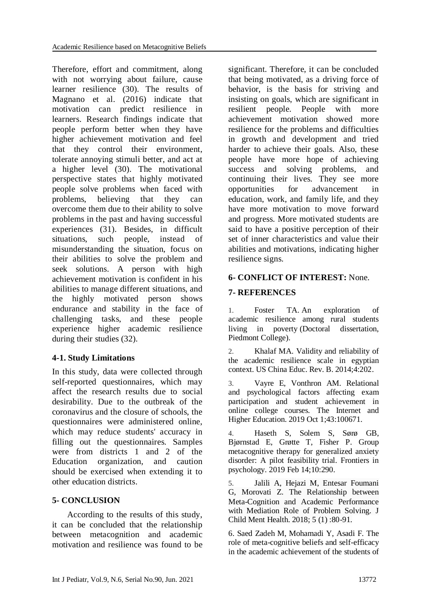Therefore, effort and commitment, along with not worrying about failure, cause learner resilience (30). The results of Magnano et al. (2016) indicate that motivation can predict resilience in learners. Research findings indicate that people perform better when they have higher achievement motivation and feel that they control their environment, tolerate annoying stimuli better, and act at a higher level (30). The motivational perspective states that highly motivated people solve problems when faced with problems, believing that they can overcome them due to their ability to solve problems in the past and having successful experiences (31). Besides, in difficult situations, such people, instead of misunderstanding the situation, focus on their abilities to solve the problem and seek solutions. A person with high achievement motivation is confident in his abilities to manage different situations, and the highly motivated person shows endurance and stability in the face of challenging tasks, and these people experience higher academic resilience during their studies (32).

# **4-1. Study Limitations**

In this study, data were collected through self-reported questionnaires, which may affect the research results due to social desirability. Due to the outbreak of the coronavirus and the closure of schools, the questionnaires were administered online, which may reduce students' accuracy in filling out the questionnaires. Samples were from districts 1 and 2 of the Education organization, and caution should be exercised when extending it to other education districts.

# **5- CONCLUSION**

 According to the results of this study, it can be concluded that the relationship between metacognition and academic motivation and resilience was found to be

significant. Therefore, it can be concluded that being motivated, as a driving force of behavior, is the basis for striving and insisting on goals, which are significant in resilient people. People with more achievement motivation showed more resilience for the problems and difficulties in growth and development and tried harder to achieve their goals. Also, these people have more hope of achieving success and solving problems, and continuing their lives. They see more opportunities for advancement in education, work, and family life, and they have more motivation to move forward and progress. More motivated students are said to have a positive perception of their set of inner characteristics and value their abilities and motivations, indicating higher resilience signs.

# **6- CONFLICT OF INTEREST:** None.

# **7- REFERENCES**

1. Foster TA. An exploration of academic resilience among rural students living in poverty (Doctoral dissertation, Piedmont College).

2. Khalaf MA. Validity and reliability of the academic resilience scale in egyptian context. US China Educ. Rev. B. 2014;4:202.

3. Vayre E, Vonthron AM. Relational and psychological factors affecting exam participation and student achievement in online college courses. The Internet and Higher Education. 2019 Oct 1;43:100671.

4. Haseth S, Solem S, Sørø GB, Bjørnstad E, Grøtte T, Fisher P. Group metacognitive therapy for generalized anxiety disorder: A pilot feasibility trial. Frontiers in psychology. 2019 Feb 14;10:290.

5. Jalili A, Hejazi M, Entesar Foumani G, Morovati Z. The Relationship between Meta-Cognition and Academic Performance with Mediation Role of Problem Solving. J Child Ment Health. 2018; 5 (1) :80-91.

6. Saed Zadeh M, Mohamadi Y, Asadi F. The role of meta-cognitive beliefs and self-efficacy in the academic achievement of the students of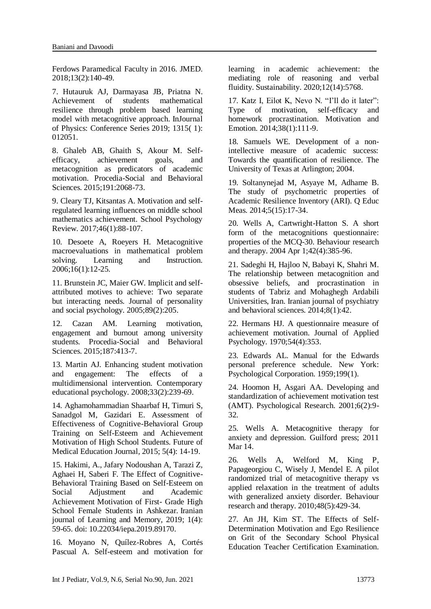Ferdows Paramedical Faculty in 2016. JMED. 2018;13(2):140-49.

7. Hutauruk AJ, Darmayasa JB, Priatna N. Achievement of students mathematical resilience through problem based learning model with metacognitive approach. InJournal of Physics: Conference Series 2019; 1315( 1): 012051.

8. Ghaleb AB, Ghaith S, Akour M. Selfefficacy, achievement goals, and metacognition as predicators of academic motivation. Procedia-Social and Behavioral Sciences. 2015;191:2068-73.

9. Cleary TJ, Kitsantas A. Motivation and selfregulated learning influences on middle school mathematics achievement. School Psychology Review. 2017;46(1):88-107.

10. Desoete A, Roeyers H. Metacognitive macroevaluations in mathematical problem solving. Learning and Instruction. 2006;16(1):12-25.

11. Brunstein JC, Maier GW. Implicit and selfattributed motives to achieve: Two separate but interacting needs. Journal of personality and social psychology. 2005;89(2):205.

12. Cazan AM. Learning motivation, engagement and burnout among university students. Procedia-Social and Behavioral Sciences. 2015;187:413-7.

13. Martin AJ. Enhancing student motivation and engagement: The effects of a multidimensional intervention. Contemporary educational psychology. 2008;33(2):239-69.

14. Aghamohammadian Shaarbaf H, Timuri S, Sanadgol M, Gazidari E. Assessment of Effectiveness of Cognitive-Behavioral Group Training on Self-Esteem and Achievement Motivation of High School Students. Future of Medical Education Journal*,* 2015; 5(4): 14-19.

15. Hakimi, A., Jafary Nodoushan A, Tarazi Z, Aghaei H, Saberi F. The Effect of Cognitive-Behavioral Training Based on Self-Esteem on Social Adjustment and Academic Achievement Motivation of First- Grade High School Female Students in Ashkezar. Iranian journal of Learning and Memory*,* 2019; 1(4): 59-65. doi: 10.22034/iepa.2019.89170.

16. Moyano N, Quílez-Robres A, Cortés Pascual A. Self-esteem and motivation for learning in academic achievement: the mediating role of reasoning and verbal fluidity. Sustainability. 2020;12(14):5768.

17. Katz I, Eilot K, Nevo N. "I'll do it later": Type of motivation, self-efficacy and homework procrastination. Motivation and Emotion. 2014;38(1):111-9.

18. Samuels WE. Development of a nonintellective measure of academic success: Towards the quantification of resilience. The University of Texas at Arlington; 2004.

19. Soltanynejad M, Asyaye M, Adhame B. The study of psychometric properties of Academic Resilience Inventory (ARI). Q Educ Meas. 2014;5(15):17-34.

20. Wells A, Cartwright-Hatton S. A short form of the metacognitions questionnaire: properties of the MCQ-30. Behaviour research and therapy. 2004 Apr 1;42(4):385-96.

21. Sadeghi H, Hajloo N, Babayi K, Shahri M. The relationship between metacognition and obsessive beliefs, and procrastination in students of Tabriz and Mohaghegh Ardabili Universities, Iran. Iranian journal of psychiatry and behavioral sciences. 2014;8(1):42.

22. Hermans HJ. A questionnaire measure of achievement motivation. Journal of Applied Psychology. 1970;54(4):353.

23. Edwards AL. Manual for the Edwards personal preference schedule. New York: Psychological Corporation. 1959;199(1).

24. Hoomon H, Asgari AA. Developing and standardization of achievement motivation test (AMT). Psychological Research. 2001;6(2):9- 32.

25. Wells A. Metacognitive therapy for anxiety and depression. Guilford press; 2011 Mar 14.

26. Wells A, Welford M, King P, Papageorgiou C, Wisely J, Mendel E. A pilot randomized trial of metacognitive therapy vs applied relaxation in the treatment of adults with generalized anxiety disorder. Behaviour research and therapy. 2010;48(5):429-34.

27. An JH, Kim ST. The Effects of Self-Determination Motivation and Ego Resilience on Grit of the Secondary School Physical Education Teacher Certification Examination.